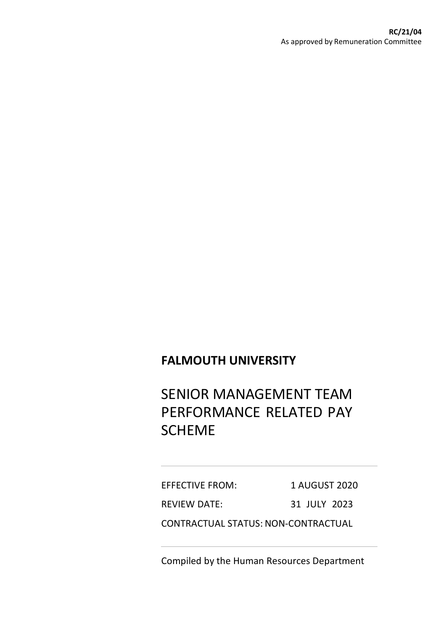## **FALMOUTH UNIVERSITY**

# SENIOR MANAGEMENT TEAM PERFORMANCE RELATED PAY SCHEME

EFFECTIVE FROM: 1 AUGUST 2020 REVIEW DATE: 31 JULY 2023 CONTRACTUAL STATUS: NON-CONTRACTUAL

Compiled by the Human Resources Department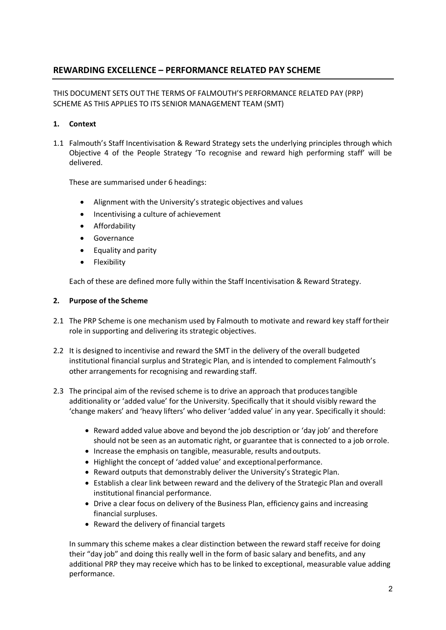### **REWARDING EXCELLENCE – PERFORMANCE RELATED PAY SCHEME**

THIS DOCUMENT SETS OUT THE TERMS OF FALMOUTH'S PERFORMANCE RELATED PAY (PRP) SCHEME AS THIS APPLIES TO ITS SENIOR MANAGEMENT TEAM (SMT)

#### **1. Context**

1.1 Falmouth's Staff Incentivisation & Reward Strategy sets the underlying principles through which Objective 4 of the People Strategy 'To recognise and reward high performing staff' will be delivered.

These are summarised under 6 headings:

- Alignment with the University's strategic objectives and values
- Incentivising a culture of achievement
- Affordability
- Governance
- Equality and parity
- Flexibility

Each of these are defined more fully within the Staff Incentivisation & Reward Strategy.

#### **2. Purpose of the Scheme**

- 2.1 The PRP Scheme is one mechanism used by Falmouth to motivate and reward key staff fortheir role in supporting and delivering its strategic objectives.
- 2.2 It is designed to incentivise and reward the SMT in the delivery of the overall budgeted institutional financial surplus and Strategic Plan, and is intended to complement Falmouth's other arrangements for recognising and rewarding staff.
- 2.3 The principal aim of the revised scheme is to drive an approach that producestangible additionality or 'added value' for the University. Specifically that it should visibly reward the 'change makers' and 'heavy lifters' who deliver 'added value' in any year. Specifically it should:
	- Reward added value above and beyond the job description or 'day job' and therefore should not be seen as an automatic right, or guarantee that is connected to a job orrole.
	- Increase the emphasis on tangible, measurable, results andoutputs.
	- Highlight the concept of 'added value' and exceptionalperformance.
	- Reward outputs that demonstrably deliver the University's Strategic Plan.
	- Establish a clear link between reward and the delivery of the Strategic Plan and overall institutional financial performance.
	- Drive a clear focus on delivery of the Business Plan, efficiency gains and increasing financial surpluses.
	- Reward the delivery of financial targets

In summary this scheme makes a clear distinction between the reward staff receive for doing their "day job" and doing this really well in the form of basic salary and benefits, and any additional PRP they may receive which has to be linked to exceptional, measurable value adding performance.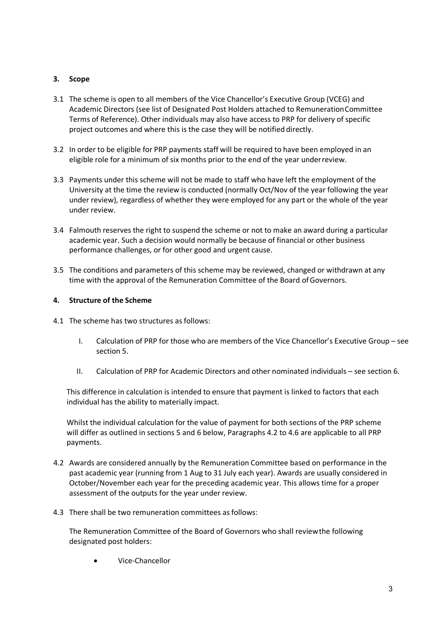#### **3. Scope**

- 3.1 The scheme is open to all members of the Vice Chancellor's Executive Group (VCEG) and Academic Directors (see list of Designated Post Holders attached to RemunerationCommittee Terms of Reference). Other individuals may also have access to PRP for delivery of specific project outcomes and where this is the case they will be notified directly.
- 3.2 In order to be eligible for PRP payments staff will be required to have been employed in an eligible role for a minimum of six months prior to the end of the year underreview.
- 3.3 Payments under this scheme will not be made to staff who have left the employment of the University at the time the review is conducted (normally Oct/Nov of the year following the year under review), regardless of whether they were employed for any part or the whole of the year under review.
- 3.4 Falmouth reserves the right to suspend the scheme or not to make an award during a particular academic year. Such a decision would normally be because of financial or other business performance challenges, or for other good and urgent cause.
- 3.5 The conditions and parameters of this scheme may be reviewed, changed or withdrawn at any time with the approval of the Remuneration Committee of the Board ofGovernors.

#### **4. Structure of the Scheme**

- 4.1 The scheme has two structures as follows:
	- I. Calculation of PRP for those who are members of the Vice Chancellor's Executive Group see section 5.
	- II. Calculation of PRP for Academic Directors and other nominated individuals see section 6.

This difference in calculation is intended to ensure that payment is linked to factors that each individual has the ability to materially impact.

Whilst the individual calculation for the value of payment for both sections of the PRP scheme will differ as outlined in sections 5 and 6 below, Paragraphs 4.2 to 4.6 are applicable to all PRP payments.

- 4.2 Awards are considered annually by the Remuneration Committee based on performance in the past academic year (running from 1 Aug to 31 July each year). Awards are usually considered in October/November each year for the preceding academic year. This allows time for a proper assessment of the outputs for the year under review.
- 4.3 There shall be two remuneration committees as follows:

The Remuneration Committee of the Board of Governors who shall reviewthe following designated post holders:

• Vice-Chancellor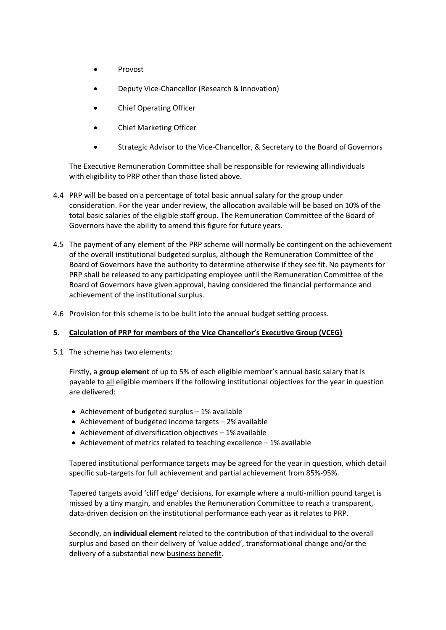- Provost
- Deputy Vice-Chancellor (Research & Innovation)
- Chief Operating Officer
- Chief Marketing Officer
- Strategic Advisor to the Vice-Chancellor, & Secretary to the Board of Governors

The Executive Remuneration Committee shall be responsible for reviewing allindividuals with eligibility to PRP other than those listed above.

- 4.4 PRP will be based on a percentage of total basic annual salary for the group under consideration. For the year under review, the allocation available will be based on 10% of the total basic salaries of the eligible staff group. The Remuneration Committee of the Board of Governors have the ability to amend this figure for future years.
- 4.5 The payment of any element of the PRP scheme will normally be contingent on the achievement of the overall institutional budgeted surplus, although the Remuneration Committee of the Board of Governors have the authority to determine otherwise if they see fit. No payments for PRP shall be released to any participating employee until the Remuneration Committee of the Board of Governors have given approval, having considered the financial performance and achievement of the institutional surplus.
- 4.6 Provision for this scheme is to be built into the annual budget setting process.

#### **5. Calculation of PRP for members of the Vice Chancellor's Executive Group (VCEG)**

5.1 The scheme has two elements:

Firstly, a **group element** of up to 5% of each eligible member's annual basic salary that is payable to all eligible members if the following institutional objectives for the year in question are delivered:

- Achievement of budgeted surplus 1% available
- Achievement of budgeted income targets 2%available
- Achievement of diversification objectives 1% available
- Achievement of metrics related to teaching excellence 1% available

Tapered institutional performance targets may be agreed for the year in question, which detail specific sub-targets for full achievement and partial achievement from 85%-95%.

Tapered targets avoid 'cliff edge' decisions, for example where a multi-million pound target is missed by a tiny margin, and enables the Remuneration Committee to reach a transparent, data-driven decision on the institutional performance each year as it relates to PRP.

Secondly, an **individual element** related to the contribution of that individual to the overall surplus and based on their delivery of 'value added', transformational change and/or the delivery of a substantial new business benefit.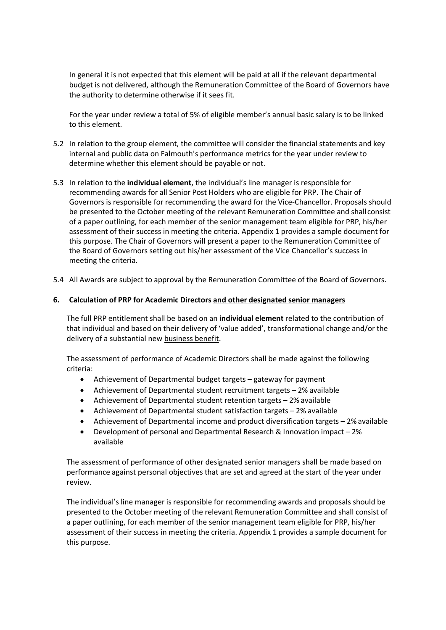In general it is not expected that this element will be paid at all if the relevant departmental budget is not delivered, although the Remuneration Committee of the Board of Governors have the authority to determine otherwise if it sees fit.

For the year under review a total of 5% of eligible member's annual basic salary is to be linked to this element.

- 5.2 In relation to the group element, the committee will consider the financial statements and key internal and public data on Falmouth's performance metrics for the year under review to determine whether this element should be payable or not.
- 5.3 In relation to the **individual element**, the individual's line manager is responsible for recommending awards for all Senior Post Holders who are eligible for PRP. The Chair of Governors is responsible for recommending the award for the Vice-Chancellor. Proposals should be presented to the October meeting of the relevant Remuneration Committee and shallconsist of a paper outlining, for each member of the senior management team eligible for PRP, his/her assessment of their success in meeting the criteria. Appendix 1 provides a sample document for this purpose. The Chair of Governors will present a paper to the Remuneration Committee of the Board of Governors setting out his/her assessment of the Vice Chancellor's success in meeting the criteria.
- 5.4 All Awards are subject to approval by the Remuneration Committee of the Board of Governors.

#### **6. Calculation of PRP for Academic Directors and other designated senior managers**

The full PRP entitlement shall be based on an **individual element** related to the contribution of that individual and based on their delivery of 'value added', transformational change and/or the delivery of a substantial new business benefit.

The assessment of performance of Academic Directors shall be made against the following criteria:

- Achievement of Departmental budget targets gateway for payment
- Achievement of Departmental student recruitment targets 2% available
- Achievement of Departmental student retention targets 2% available
- Achievement of Departmental student satisfaction targets 2% available
- Achievement of Departmental income and product diversification targets 2% available
- Development of personal and Departmental Research & Innovation impact 2% available

The assessment of performance of other designated senior managers shall be made based on performance against personal objectives that are set and agreed at the start of the year under review.

The individual's line manager is responsible for recommending awards and proposals should be presented to the October meeting of the relevant Remuneration Committee and shall consist of a paper outlining, for each member of the senior management team eligible for PRP, his/her assessment of their success in meeting the criteria. Appendix 1 provides a sample document for this purpose.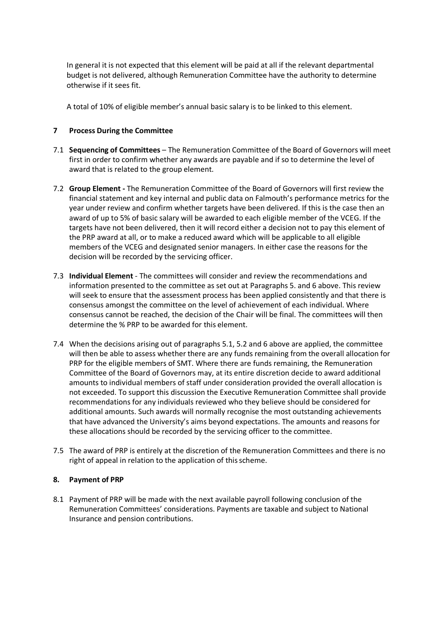In general it is not expected that this element will be paid at all if the relevant departmental budget is not delivered, although Remuneration Committee have the authority to determine otherwise if it sees fit.

A total of 10% of eligible member's annual basic salary is to be linked to this element.

#### **7 Process During the Committee**

- 7.1 **Sequencing of Committees** The Remuneration Committee of the Board of Governors will meet first in order to confirm whether any awards are payable and if so to determine the level of award that is related to the group element.
- 7.2 **Group Element -** The Remuneration Committee of the Board of Governors will first review the financial statement and key internal and public data on Falmouth's performance metrics for the year under review and confirm whether targets have been delivered. If this is the case then an award of up to 5% of basic salary will be awarded to each eligible member of the VCEG. If the targets have not been delivered, then it will record either a decision not to pay this element of the PRP award at all, or to make a reduced award which will be applicable to all eligible members of the VCEG and designated senior managers. In either case the reasons for the decision will be recorded by the servicing officer.
- 7.3 **Individual Element**  The committees will consider and review the recommendations and information presented to the committee as set out at Paragraphs 5. and 6 above. This review will seek to ensure that the assessment process has been applied consistently and that there is consensus amongst the committee on the level of achievement of each individual. Where consensus cannot be reached, the decision of the Chair will be final. The committees will then determine the % PRP to be awarded for this element.
- 7.4 When the decisions arising out of paragraphs 5.1, 5.2 and 6 above are applied, the committee will then be able to assess whether there are any funds remaining from the overall allocation for PRP for the eligible members of SMT. Where there are funds remaining, the Remuneration Committee of the Board of Governors may, at its entire discretion decide to award additional amounts to individual members of staff under consideration provided the overall allocation is not exceeded. To support this discussion the Executive Remuneration Committee shall provide recommendations for any individuals reviewed who they believe should be considered for additional amounts. Such awards will normally recognise the most outstanding achievements that have advanced the University's aims beyond expectations. The amounts and reasons for these allocations should be recorded by the servicing officer to the committee.
- 7.5 The award of PRP is entirely at the discretion of the Remuneration Committees and there is no right of appeal in relation to the application of this scheme.

#### **8. Payment of PRP**

8.1 Payment of PRP will be made with the next available payroll following conclusion of the Remuneration Committees' considerations. Payments are taxable and subject to National Insurance and pension contributions.